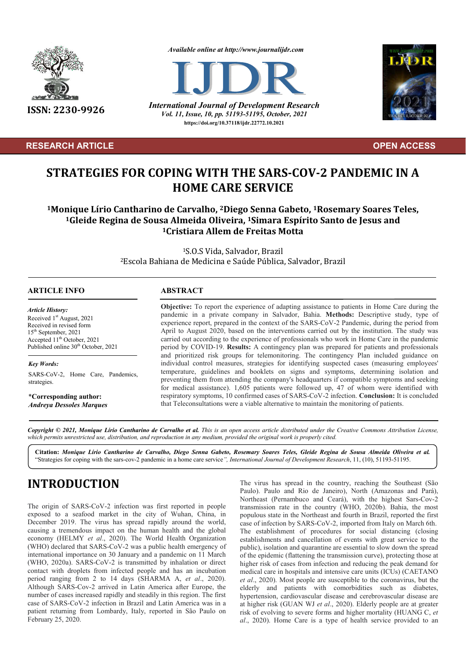

#### **RESEARCH ARTICLE****OPEN ACCESS**

*Available online at http://www.journalijdr.com*



**ISSN: 2230-9926** *International Journal of Development Research Vol. 11, Issue, 10, pp. 51193-51195, October, 2021* **https://doi.org/10.37118/ijdr.22772.10.2021**



# **STRATEGIES FOR COPING WITH THE SARS-COV-2 PANDEMIC IN A HOME CARE SERVICE**

**1Monique Lírio Cantharino de Carvalho, 2Diego Senna Gabeto, 1Rosemary Soares Teles, 1Gleide Regina de Sousa Almeida Oliveira, 1Simara Espírito Santo de Jesus and 1Cristiara Allem de Freitas Motta**

> 1S.O.S Vida, Salvador, Brazil 2Escola Bahiana de Medicina e Saúde Pública, Salvador, Brazil

#### **ARTICLE INFO ABSTRACT**

*Article History: ArticleHistory: Article History:* Received 1<sup>st</sup> August, 2021 Received in revised form  $15<sup>th</sup> September, 2021$  $15^{\circ}$  September, 2021<br>Accepted  $11^{\text{th}}$  October, 2021 Published online 30<sup>th</sup> October, 2021

*Key Words:* SARS-CoV-2, Home Care, Pandemics, strategies.

\***Corresponding author:** *Andreya Dessoles Marques*

**Objective:** To report the experience of adapting assistance to patients in Home Care during the pandemic in a private company in Salvador, Bahia. **Methods:** Descriptive study, type of experience report, prepared in the context of the SARS-CoV-2 Pandemic, during the period from April to August 2020, based on the interventions carried out by the institution. The study was carried out according to the experience of professionals who work in Home Care in the pandemic period by COVID-19. **Results:** A contingency plan was prepared for patients and professionals and prioritized risk groups for telemonitoring. The contingency Plan included guidance on individual control measures, strategies for identifying suspected cases (measuring employees' temperature, guidelines and booklets on signs and symptoms, determining isolation and preventing them from attending the company's headquarters if compatible symptoms and seeking for medical assistance). 1,605 patients were followed up, 47 of whom were identified with respiratory symptoms, 10 confirmed cases of SARS-CoV-2 infection. **Conclusion:** It is concluded that Teleconsultations were a viable alternative to maintain the monitoring of patients.

Copyright © 2021, Monique Lírio Cantharino de Carvalho et al. This is an open access article distributed under the Creative Commons Attribution License, which permits unrestricted use, distribution, and reproduction in any medium, provided the original work is properly cited.

**Citation:** *Monique Lírio Cantharino de Carvalho, Diego Senna Gabeto, Rosemary Soares Teles, Gleide Regina de Sousa Almeida Oliveira et al.* "Strategies for coping with the sars-cov-2 pandemic in a home care service*", International Journal of Development Research*, 11, (10), 51193-51195.

# **INTRODUCTION**

The origin of SARS-CoV-2 infection was first reported in people exposed to a seafood market in the city of Wuhan, China, in December 2019. The virus has spread rapidly around the world. causing a tremendous impact on the human health and the global economy (HELMY *et al*., 2020). The World Health Organization (WHO) declared that SARS-CoV-2 was a public health emergency of international importance on 30 January and a pandemic on 11 March (WHO, 2020a). SARS-CoV-2 is transmitted by inhalation or direct contact with droplets from infected people and has an incubation period ranging from 2 to 14 days (SHARMA A, *et al*., 2020). Although SARS-Cov-2 arrived in Latin America after Europe, the number of cases increased rapidly and steadily in this region. The first case of SARS-CoV-2 infection in Brazil and Latin America was in a patient returning from Lombardy, Italy, reported in São Paulo on February 25, 2020.

The virus has spread in the country, reaching the Southeast (São Paulo). Paulo and Rio de Janeiro), North (Amazonas and Pará), Northeast (Pernambuco and Ceará), with the highest Sars-Cov-2 transmission rate in the country (WHO, 2020b). Bahia, the most populous state in the Northeast and fourth in Brazil, reported the first case of infection by SARS-CoV-2, imported from Italy on March 6th. The establishment of procedures for social distancing (closing establishments and cancellation of events with great service to the public), isolation and quarantine are essential to slow down the spread of the epidemic (flattening the transmission curve), protecting those at higher risk of cases from infection and reducing the peak demand for medical care in hospitals and intensive care units (ICUs) (CAETANO *et al*., 2020). Most people are susceptible to the coronavirus, but the elderly and patients with comorbidities such as diabetes, hypertension, cardiovascular disease and cerebrovascular disease are at higher risk (GUAN WJ *et al*., 2020). Elderly people are at greater risk of evolving to severe forms and higher mortality (HUANG C, *et al*., 2020). Home Care is a type of health service provided to an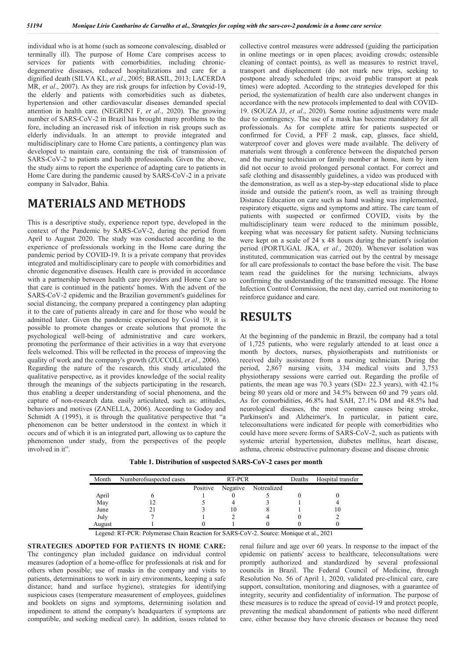individual who is at home (such as someone convalescing, disabled or terminally ill). The purpose of Home Care comprises access to services for patients with comorbidities, including chronicdegenerative diseases, reduced hospitalizations and care for a dignified death (SILVA KL, *et al*., 2005; BRASIL, 2013; LACERDA MR, *et al*., 2007). As they are risk groups for infection by Covid-19, the elderly and patients with comorbidities such as diabetes, hypertension and other cardiovascular diseases demanded special attention in health care. (NEGRINI F, *et al*., 2020). The growing number of SARS-CoV-2 in Brazil has brought many problems to the fore, including an increased risk of infection in risk groups such as elderly individuals. In an attempt to provide integrated and multidisciplinary care to Home Care patients, a contingency plan was developed to maintain care, containing the risk of transmission of SARS-CoV-2 to patients and health professionals. Given the above, the study aims to report the experience of adapting care to patients in Home Care during the pandemic caused by SARS-CoV-2 in a private company in Salvador, Bahia.

## **MATERIALS AND METHODS**

This is a descriptive study, experience report type, developed in the context of the Pandemic by SARS-CoV-2, during the period from April to August 2020. The study was conducted according to the experience of professionals working in the Home care during the pandemic period by COVID-19. It is a private company that provides integrated and multidisciplinary care to people with comorbidities and chronic degenerative diseases. Health care is provided in accordance with a partnership between health care providers and Home Care so that care is continued in the patients' homes. With the advent of the SARS-CoV-2 epidemic and the Brazilian government's guidelines for social distancing, the company prepared a contingency plan adapting it to the care of patients already in care and for those who would be admitted later. Given the pandemic experienced by Covid 19, it is possible to promote changes or create solutions that promote the psychological well-being of administrative and care workers, promoting the performance of their activities in a way that everyone feels welcomed. This will be reflected in the process of improving the quality of work and the company's growth (ZUCCOLI, *et al*., 2006). Regarding the nature of the research, this study articulated the qualitative perspective, as it provides knowledge of the social reality through the meanings of the subjects participating in the research, thus enabling a deeper understanding of social phenomena, and the capture of non-research data. easily articulated, such as: attitudes, behaviors and motives (ZANELLA, 2006). According to Godoy and Schmidt A (1995), it is through the qualitative perspective that "a phenomenon can be better understood in the context in which it occurs and of which it is an integrated part, allowing us to capture the phenomenon under study, from the perspectives of the people involved in it".

collective control measures were addressed (guiding the participation in online meetings or in open places; avoiding crowds; ostensible cleaning of contact points), as well as measures to restrict travel, transport and displacement (do not mark new trips, seeking to postpone already scheduled trips; avoid public transport at peak times) were adopted. According to the strategies developed for this period, the systematization of health care also underwent changes in accordance with the new protocols implemented to deal with COVID-19. (SOUZA JJ, *et al*., 2020). Some routine adjustments were made due to contingency. The use of a mask has become mandatory for all professionals. As for complete attire for patients suspected or confirmed for Covid, a PFF 2 mask, cap, glasses, face shield, waterproof cover and gloves were made available. The delivery of materials went through a conference between the dispatched person and the nursing technician or family member at home, item by item did not occur to avoid prolonged personal contact. For correct and safe clothing and disassembly guidelines, a video was produced with the demonstration, as well as a step-by-step educational slide to place inside and outside the patient's room, as well as training through Distance Education on care such as hand washing was implemented, respiratory etiquette, signs and symptoms and attire. The care team of patients with suspected or confirmed COVID, visits by the multidisciplinary team were reduced to the minimum possible, keeping what was necessary for patient safety. Nursing technicians were kept on a scale of 24 x 48 hours during the patient's isolation period (PORTUGAL JKA, *et al*., 2020). Whenever isolation was instituted, communication was carried out by the central by message for all care professionals to contact the base before the visit. The base team read the guidelines for the nursing technicians, always confirming the understanding of the transmitted message. The Home Infection Control Commission, the next day, carried out monitoring to reinforce guidance and care.

## **RESULTS**

At the beginning of the pandemic in Brazil, the company had a total of 1,725 patients, who were regularly attended to at least once a month by doctors, nurses, physiotherapists and nutritionists or received daily assistance from a nursing technician. During the period, 2,867 nursing visits, 334 medical visits and 3,753 physiotherapy sessions were carried out. Regarding the profile of patients, the mean age was 70.3 years (SD± 22.3 years), with 42.1% being 80 years old or more and 34.5% between 60 and 79 years old. As for comorbidities, 46.8% had SAH, 27.1% DM and 48.5% had neurological diseases, the most common causes being stroke, Parkinson's and Alzheimer's. In particular, in patient care, teleconsultations were indicated for people with comorbidities who could have more severe forms of SARS-CoV-2, such as patients with systemic arterial hypertension, diabetes mellitus, heart disease, asthma, chronic obstructive pulmonary disease and disease chronic

**Table 1. Distribution of suspected SARS-CoV-2 cases per month**

| Month  | Numberofsuspected cases | RT-PCR   |          |             | Deaths | Hospital transfer |
|--------|-------------------------|----------|----------|-------------|--------|-------------------|
|        |                         | Positive | Negative | Notrealized |        |                   |
| April  |                         |          |          |             |        |                   |
| May    |                         |          |          |             |        |                   |
| June   |                         |          | 10       |             |        | 10                |
| July   |                         |          |          |             |        |                   |
| August |                         |          |          |             |        |                   |

Legend: RT-PCR: Polymerase Chain Reaction for SARS-CoV-2. Source: Monique et al., 2021

**STRATEGIES ADOPTED FOR PATIENTS IN HOME CARE:**  The contingency plan included guidance on individual control measures (adoption of a home-office for professionals at risk and for others when possible; use of masks in the company and visits to patients, determinations to work in airy environments, keeping a safe distance; hand and surface hygiene), strategies for identifying suspicious cases (temperature measurement of employees, guidelines and booklets on signs and symptoms, determining isolation and impediment to attend the company's headquarters if symptoms are compatible, and seeking medical care). In addition, issues related to

renal failure and age over 60 years. In response to the impact of the epidemic on patients' access to healthcare, teleconsultations were promptly authorized and standardized by several professional councils in Brazil. The Federal Council of Medicine, through Resolution No. 56 of April 1, 2020, validated pre-clinical care, care support, consultation, monitoring and diagnoses, with a guarantee of integrity, security and confidentiality of information. The purpose of these measures is to reduce the spread of covid-19 and protect people, preventing the medical abandonment of patients who need different care, either because they have chronic diseases or because they need